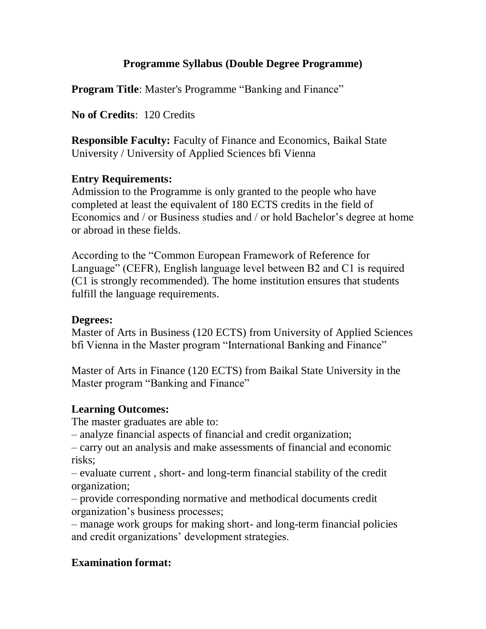# **Programme Syllabus (Double Degree Programme)**

**Program Title:** Master's Programme "Banking and Finance"

**No of Credits**: 120 Credits

**Responsible Faculty:** Faculty of Finance and Economics, Baikal State University / University of Applied Sciences bfi Vienna

#### **Entry Requirements:**

Admission to the Programme is only granted to the people who have completed at least the equivalent of 180 ECTS credits in the field of Economics and / or Business studies and / or hold Bachelor's degree at home or abroad in these fields.

According to the "Common European Framework of Reference for Language" (CEFR), English language level between B2 and C1 is required (C1 is strongly recommended). The home institution ensures that students fulfill the language requirements.

#### **Degrees:**

Master of Arts in Business (120 ECTS) from University of Applied Sciences bfi Vienna in the Master program "International Banking and Finance"

Master of Arts in Finance (120 ECTS) from Baikal State University in the Master program "Banking and Finance"

# **Learning Outcomes:**

The master graduates are able to:

– analyze financial aspects of financial and credit organization;

– carry out an analysis and make assessments of financial and economic risks;

– evaluate current , short- and long-term financial stability of the credit organization;

– provide corresponding normative and methodical documents credit organization's business processes;

– manage work groups for making short- and long-term financial policies and credit organizations' development strategies.

# **Examination format:**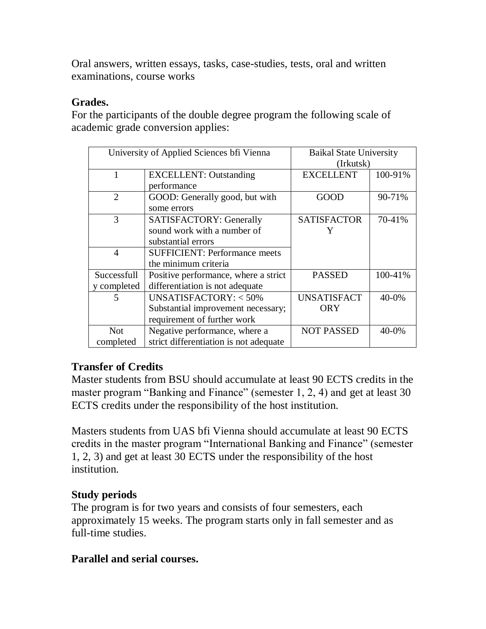Oral answers, written essays, tasks, case-studies, tests, oral and written examinations, course works

#### **Grades.**

For the participants of the double degree program the following scale of academic grade conversion applies:

| University of Applied Sciences bfi Vienna |                                        | <b>Baikal State University</b><br>(Irkutsk) |            |
|-------------------------------------------|----------------------------------------|---------------------------------------------|------------|
| 1                                         | <b>EXCELLENT:</b> Outstanding          | <b>EXCELLENT</b>                            | 100-91%    |
|                                           | performance                            |                                             |            |
| $\overline{2}$                            | GOOD: Generally good, but with         | <b>GOOD</b>                                 | 90-71%     |
|                                           | some errors                            |                                             |            |
| 3                                         | <b>SATISFACTORY: Generally</b>         | <b>SATISFACTOR</b>                          | 70-41%     |
|                                           | sound work with a number of            | Y                                           |            |
|                                           | substantial errors                     |                                             |            |
| $\overline{4}$                            | <b>SUFFICIENT: Performance meets</b>   |                                             |            |
|                                           | the minimum criteria                   |                                             |            |
| Successfull                               | Positive performance, where a strict   | <b>PASSED</b>                               | 100-41%    |
| y completed                               | differentiation is not adequate        |                                             |            |
| 5                                         | UNSATISFACTORY: $<$ 50%                | <b>UNSATISFACT</b>                          | $40 - 0\%$ |
|                                           | Substantial improvement necessary;     | ORY                                         |            |
|                                           | requirement of further work            |                                             |            |
| <b>Not</b>                                | Negative performance, where a          | <b>NOT PASSED</b>                           | $40 - 0\%$ |
| completed                                 | strict differentiation is not adequate |                                             |            |

# **Transfer of Credits**

Master students from BSU should accumulate at least 90 ECTS credits in the master program "Banking and Finance" (semester 1, 2, 4) and get at least 30 ECTS credits under the responsibility of the host institution.

Masters students from UAS bfi Vienna should accumulate at least 90 ECTS credits in the master program "International Banking and Finance" (semester 1, 2, 3) and get at least 30 ECTS under the responsibility of the host institution.

# **Study periods**

The program is for two years and consists of four semesters, each approximately 15 weeks. The program starts only in fall semester and as full-time studies.

# **Parallel and serial courses.**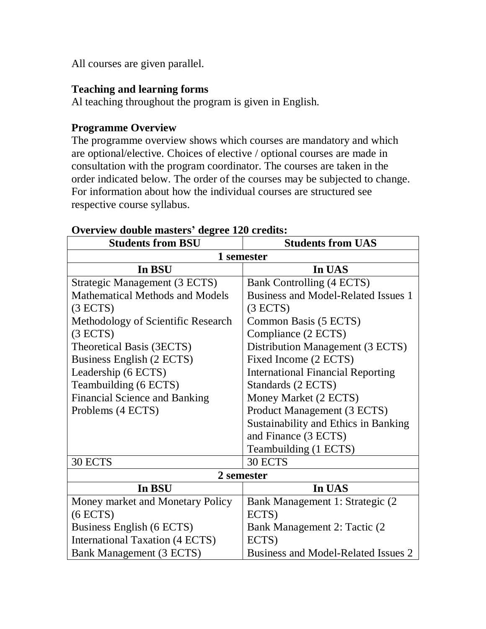All courses are given parallel.

#### **Teaching and learning forms**

Al teaching throughout the program is given in English.

#### **Programme Overview**

The programme overview shows which courses are mandatory and which are optional/elective. Choices of elective / optional courses are made in consultation with the program coordinator. The courses are taken in the order indicated below. The order of the courses may be subjected to change. For information about how the individual courses are structured see respective course syllabus.

| <b>Students from BSU</b>               | <b>Students from UAS</b>                   |  |  |
|----------------------------------------|--------------------------------------------|--|--|
| 1 semester                             |                                            |  |  |
| In BSU                                 | In UAS                                     |  |  |
| Strategic Management (3 ECTS)          | <b>Bank Controlling (4 ECTS)</b>           |  |  |
| <b>Mathematical Methods and Models</b> | <b>Business and Model-Related Issues 1</b> |  |  |
| (3 ECTS)                               | (3 ECTS)                                   |  |  |
| Methodology of Scientific Research     | Common Basis (5 ECTS)                      |  |  |
| (3 ECTS)                               | Compliance (2 ECTS)                        |  |  |
| Theoretical Basis (3ECTS)              | Distribution Management (3 ECTS)           |  |  |
| Business English (2 ECTS)              | Fixed Income (2 ECTS)                      |  |  |
| Leadership (6 ECTS)                    | <b>International Financial Reporting</b>   |  |  |
| Teambuilding (6 ECTS)                  | Standards (2 ECTS)                         |  |  |
| <b>Financial Science and Banking</b>   | Money Market (2 ECTS)                      |  |  |
| Problems (4 ECTS)                      | Product Management (3 ECTS)                |  |  |
|                                        | Sustainability and Ethics in Banking       |  |  |
|                                        | and Finance (3 ECTS)                       |  |  |
|                                        | Teambuilding (1 ECTS)                      |  |  |
| 30 ECTS                                | 30 ECTS                                    |  |  |
| 2 semester                             |                                            |  |  |
| In BSU                                 | In UAS                                     |  |  |
| Money market and Monetary Policy       | Bank Management 1: Strategic (2)           |  |  |
| (6 ECTS)                               | ECTS)                                      |  |  |
| Business English (6 ECTS)              | Bank Management 2: Tactic (2               |  |  |
| <b>International Taxation (4 ECTS)</b> | ECTS)                                      |  |  |
| <b>Bank Management (3 ECTS)</b>        | Business and Model-Related Issues 2        |  |  |

#### **Overview double masters' degree 120 credits:**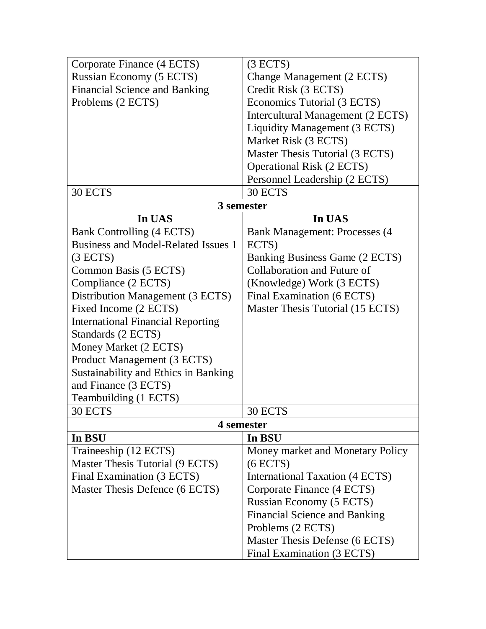| Corporate Finance (4 ECTS)                 | (3 ECTS)                              |  |  |  |
|--------------------------------------------|---------------------------------------|--|--|--|
| Russian Economy (5 ECTS)                   | Change Management (2 ECTS)            |  |  |  |
| <b>Financial Science and Banking</b>       | Credit Risk (3 ECTS)                  |  |  |  |
| Problems (2 ECTS)                          | Economics Tutorial (3 ECTS)           |  |  |  |
|                                            | Intercultural Management (2 ECTS)     |  |  |  |
|                                            | Liquidity Management (3 ECTS)         |  |  |  |
|                                            | Market Risk (3 ECTS)                  |  |  |  |
|                                            | Master Thesis Tutorial (3 ECTS)       |  |  |  |
|                                            | <b>Operational Risk (2 ECTS)</b>      |  |  |  |
|                                            | Personnel Leadership (2 ECTS)         |  |  |  |
| 30 ECTS                                    | 30 ECTS                               |  |  |  |
| 3 semester                                 |                                       |  |  |  |
| In UAS                                     | In UAS                                |  |  |  |
| Bank Controlling (4 ECTS)                  | <b>Bank Management: Processes (4)</b> |  |  |  |
| <b>Business and Model-Related Issues 1</b> | ECTS)                                 |  |  |  |
| (3 ECTS)                                   | Banking Business Game (2 ECTS)        |  |  |  |
| Common Basis (5 ECTS)                      | Collaboration and Future of           |  |  |  |
| Compliance (2 ECTS)                        | (Knowledge) Work (3 ECTS)             |  |  |  |
| Distribution Management (3 ECTS)           | Final Examination (6 ECTS)            |  |  |  |
| Fixed Income (2 ECTS)                      | Master Thesis Tutorial (15 ECTS)      |  |  |  |
| <b>International Financial Reporting</b>   |                                       |  |  |  |
| Standards (2 ECTS)                         |                                       |  |  |  |
| Money Market (2 ECTS)                      |                                       |  |  |  |
| Product Management (3 ECTS)                |                                       |  |  |  |
| Sustainability and Ethics in Banking       |                                       |  |  |  |
| and Finance (3 ECTS)                       |                                       |  |  |  |
| Teambuilding (1 ECTS)                      |                                       |  |  |  |
| 30 ECTS                                    | 30 ECTS                               |  |  |  |
|                                            | 4 semester                            |  |  |  |
| In BSU                                     | In BSU                                |  |  |  |
| Traineeship (12 ECTS)                      | Money market and Monetary Policy      |  |  |  |
| Master Thesis Tutorial (9 ECTS)            | (6 ECTS)                              |  |  |  |
| Final Examination (3 ECTS)                 | International Taxation (4 ECTS)       |  |  |  |
| Master Thesis Defence (6 ECTS)             | Corporate Finance (4 ECTS)            |  |  |  |
|                                            | Russian Economy (5 ECTS)              |  |  |  |
|                                            | <b>Financial Science and Banking</b>  |  |  |  |
|                                            | Problems (2 ECTS)                     |  |  |  |
|                                            | Master Thesis Defense (6 ECTS)        |  |  |  |
|                                            | Final Examination (3 ECTS)            |  |  |  |